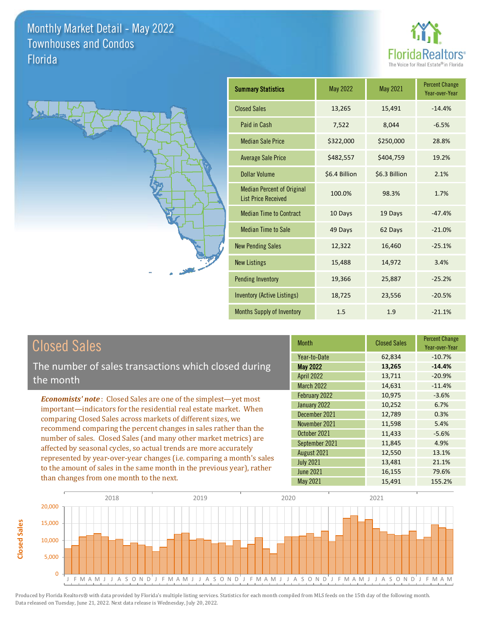



| <b>Summary Statistics</b>                                       | May 2022      | <b>May 2021</b> | <b>Percent Change</b><br>Year-over-Year |
|-----------------------------------------------------------------|---------------|-----------------|-----------------------------------------|
| <b>Closed Sales</b>                                             | 13,265        | 15,491          | $-14.4%$                                |
| Paid in Cash                                                    | 7,522         | 8,044           | $-6.5%$                                 |
| <b>Median Sale Price</b>                                        | \$322,000     | \$250,000       | 28.8%                                   |
| <b>Average Sale Price</b>                                       | \$482,557     | \$404,759       | 19.2%                                   |
| Dollar Volume                                                   | \$6.4 Billion | \$6.3 Billion   | 2.1%                                    |
| <b>Median Percent of Original</b><br><b>List Price Received</b> | 100.0%        | 98.3%           | 1.7%                                    |
| <b>Median Time to Contract</b>                                  | 10 Days       | 19 Days         | $-47.4%$                                |
| <b>Median Time to Sale</b>                                      | 49 Days       | 62 Days         | $-21.0%$                                |
| <b>New Pending Sales</b>                                        | 12,322        | 16,460          | $-25.1%$                                |
| <b>New Listings</b>                                             | 15,488        | 14,972          | 3.4%                                    |
| <b>Pending Inventory</b>                                        | 19,366        | 25,887          | $-25.2%$                                |
| <b>Inventory (Active Listings)</b>                              | 18,725        | 23,556          | $-20.5%$                                |
| Months Supply of Inventory                                      | 1.5           | 1.9             | $-21.1%$                                |

## Closed Sales

**Closed Sales**

**Closed Sales** 

The number of sales transactions which closed during the month

*Economists' note* : Closed Sales are one of the simplest—yet most important—indicators for the residential real estate market. When comparing Closed Sales across markets of different sizes, we recommend comparing the percent changes in sales rather than the number of sales. Closed Sales (and many other market metrics) are affected by seasonal cycles, so actual trends are more accurately represented by year-over-year changes (i.e. comparing a month's sales to the amount of sales in the same month in the previous year), rather than changes from one month to the next.

| <b>Month</b>      | <b>Closed Sales</b> | <b>Percent Change</b><br>Year-over-Year |
|-------------------|---------------------|-----------------------------------------|
| Year-to-Date      | 62,834              | $-10.7%$                                |
| May 2022          | 13,265              | $-14.4%$                                |
| <b>April 2022</b> | 13,711              | $-20.9%$                                |
| <b>March 2022</b> | 14,631              | $-11.4%$                                |
| February 2022     | 10,975              | $-3.6%$                                 |
| January 2022      | 10,252              | 6.7%                                    |
| December 2021     | 12,789              | 0.3%                                    |
| November 2021     | 11,598              | 5.4%                                    |
| October 2021      | 11,433              | $-5.6%$                                 |
| September 2021    | 11,845              | 4.9%                                    |
| August 2021       | 12,550              | 13.1%                                   |
| <b>July 2021</b>  | 13,481              | 21.1%                                   |
| <b>June 2021</b>  | 16,155              | 79.6%                                   |
| <b>May 2021</b>   | 15,491              | 155.2%                                  |

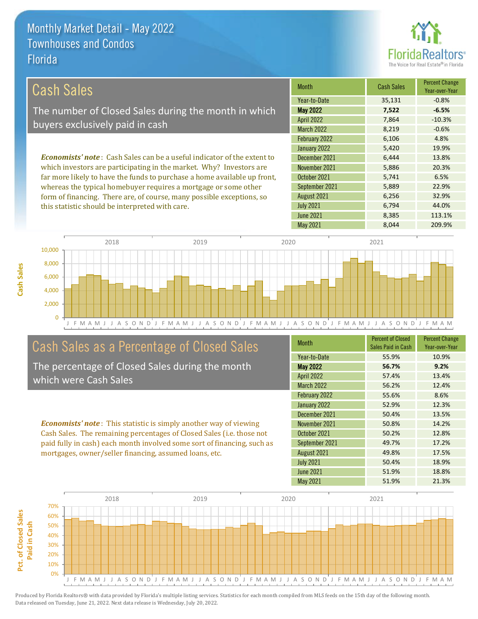this statistic should be interpreted with care.



6,794 44.0%

| Cash Sales                                                                     | <b>Month</b>      | <b>Cash Sales</b> | <b>Percent Change</b><br>Year-over-Year |
|--------------------------------------------------------------------------------|-------------------|-------------------|-----------------------------------------|
|                                                                                | Year-to-Date      | 35,131            | $-0.8%$                                 |
| The number of Closed Sales during the month in which                           | <b>May 2022</b>   | 7,522             | $-6.5%$                                 |
| buyers exclusively paid in cash                                                | <b>April 2022</b> | 7.864             | $-10.3%$                                |
|                                                                                | <b>March 2022</b> | 8,219             | $-0.6%$                                 |
|                                                                                | February 2022     | 6,106             | 4.8%                                    |
|                                                                                | January 2022      | 5,420             | 19.9%                                   |
| <b>Economists' note:</b> Cash Sales can be a useful indicator of the extent to | December 2021     | 6.444             | 13.8%                                   |
| which investors are participating in the market. Why? Investors are            | November 2021     | 5,886             | 20.3%                                   |
| far more likely to have the funds to purchase a home available up front,       | October 2021      | 5.741             | 6.5%                                    |
| whereas the typical homebuyer requires a mortgage or some other                | September 2021    | 5,889             | 22.9%                                   |
| form of financing. There are, of course, many possible exceptions, so          | August 2021       | 6.256             | 32.9%                                   |



### Cash Sales as a Percentage of Closed Sales

The percentage of Closed Sales during the month which were Cash Sales

*Economists' note* : This statistic is simply another way of viewing Cash Sales. The remaining percentages of Closed Sales (i.e. those not paid fully in cash) each month involved some sort of financing, such as mortgages, owner/seller financing, assumed loans, etc.

| <b>Month</b>      | <b>Percent of Closed</b><br>Sales Paid in Cash | <b>Percent Change</b><br>Year-over-Year |
|-------------------|------------------------------------------------|-----------------------------------------|
| Year-to-Date      | 55.9%                                          | 10.9%                                   |
| <b>May 2022</b>   | 56.7%                                          | 9.2%                                    |
| <b>April 2022</b> | 57.4%                                          | 13.4%                                   |
| March 2022        | 56.2%                                          | 12.4%                                   |
| February 2022     | 55.6%                                          | 8.6%                                    |
| January 2022      | 52.9%                                          | 12.3%                                   |
| December 2021     | 50.4%                                          | 13.5%                                   |
| November 2021     | 50.8%                                          | 14.2%                                   |
| October 2021      | 50.2%                                          | 12.8%                                   |
| September 2021    | 49.7%                                          | 17.2%                                   |
| August 2021       | 49.8%                                          | 17.5%                                   |
| <b>July 2021</b>  | 50.4%                                          | 18.9%                                   |
| <b>June 2021</b>  | 51.9%                                          | 18.8%                                   |
| <b>May 2021</b>   | 51.9%                                          | 21.3%                                   |

June 2021 **8,385** 113.1%

July 2021

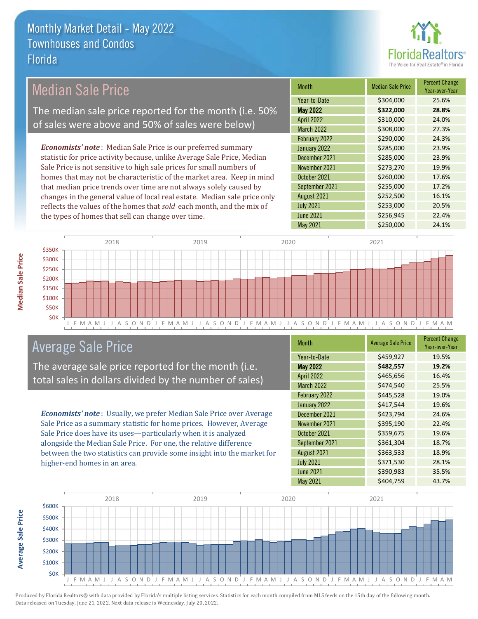

| <b>Median Sale Price</b>                                                  | <b>Month</b>      | <b>Median Sale Price</b> | <b>Percent Change</b><br>Year-over-Year |
|---------------------------------------------------------------------------|-------------------|--------------------------|-----------------------------------------|
|                                                                           | Year-to-Date      | \$304,000                | 25.6%                                   |
| The median sale price reported for the month (i.e. 50%                    | <b>May 2022</b>   | \$322,000                | 28.8%                                   |
| of sales were above and 50% of sales were below)                          | <b>April 2022</b> | \$310,000                | 24.0%                                   |
|                                                                           | <b>March 2022</b> | \$308,000                | 27.3%                                   |
|                                                                           | February 2022     | \$290,000                | 24.3%                                   |
| <b>Economists' note:</b> Median Sale Price is our preferred summary       | January 2022      | \$285,000                | 23.9%                                   |
| statistic for price activity because, unlike Average Sale Price, Median   | December 2021     | \$285,000                | 23.9%                                   |
| Sale Price is not sensitive to high sale prices for small numbers of      | November 2021     | \$273,270                | 19.9%                                   |
| homes that may not be characteristic of the market area. Keep in mind     | October 2021      | \$260,000                | 17.6%                                   |
| that median price trends over time are not always solely caused by        | September 2021    | \$255,000                | 17.2%                                   |
| changes in the general value of local real estate. Median sale price only | August 2021       | \$252,500                | 16.1%                                   |
| reflects the values of the homes that sold each month, and the mix of     | <b>July 2021</b>  | \$253,000                | 20.5%                                   |
| the types of homes that sell can change over time.                        | <b>June 2021</b>  | \$256,945                | 22.4%                                   |
|                                                                           | May 2021          | \$250,000                | 24.1%                                   |
|                                                                           |                   |                          |                                         |



## Average Sale Price

The average sale price reported for the month (i.e. total sales in dollars divided by the number of sales)

*Economists' note* : Usually, we prefer Median Sale Price over Average Sale Price as a summary statistic for home prices. However, Average Sale Price does have its uses—particularly when it is analyzed alongside the Median Sale Price. For one, the relative difference between the two statistics can provide some insight into the market for higher-end homes in an area.

| <b>Month</b>      | <b>Average Sale Price</b> | <b>Percent Change</b><br>Year-over-Year |
|-------------------|---------------------------|-----------------------------------------|
| Year-to-Date      | \$459,927                 | 19.5%                                   |
| <b>May 2022</b>   | \$482,557                 | 19.2%                                   |
| <b>April 2022</b> | \$465,656                 | 16.4%                                   |
| <b>March 2022</b> | \$474,540                 | 25.5%                                   |
| February 2022     | \$445,528                 | 19.0%                                   |
| January 2022      | \$417,544                 | 19.6%                                   |
| December 2021     | \$423,794                 | 24.6%                                   |
| November 2021     | \$395,190                 | 22.4%                                   |
| October 2021      | \$359,675                 | 19.6%                                   |
| September 2021    | \$361,304                 | 18.7%                                   |
| August 2021       | \$363,533                 | 18.9%                                   |
| <b>July 2021</b>  | \$371,530                 | 28.1%                                   |
| <b>June 2021</b>  | \$390,983                 | 35.5%                                   |
| May 2021          | \$404,759                 | 43.7%                                   |



Produced by Florida Realtors® with data provided by Florida's multiple listing services. Statistics for each month compiled from MLS feeds on the 15th day of the following month. Data released on Tuesday, June 21, 2022. Next data release is Wednesday, July 20, 2022.

**Average Sale Price**

**Average Sale Price**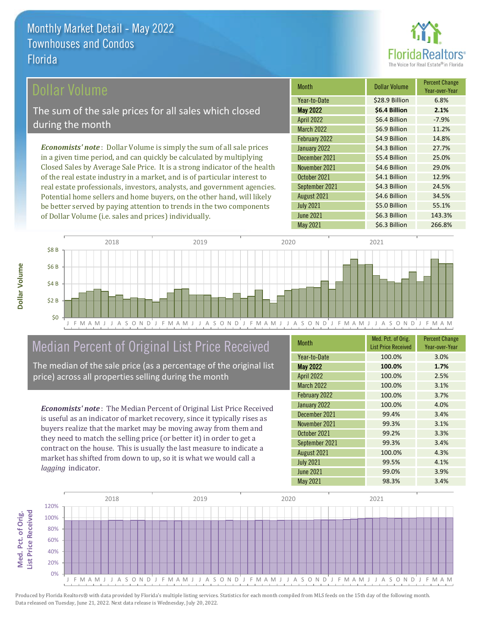

#### Dollar Volume

The sum of the sale prices for all sales which closed during the month

*Economists' note* : Dollar Volume is simply the sum of all sale prices in a given time period, and can quickly be calculated by multiplying Closed Sales by Average Sale Price. It is a strong indicator of the health of the real estate industry in a market, and is of particular interest to real estate professionals, investors, analysts, and government agencies. Potential home sellers and home buyers, on the other hand, will likely be better served by paying attention to trends in the two components of Dollar Volume (i.e. sales and prices) individually.

| <b>Month</b>      | Dollar Volume  | <b>Percent Change</b><br>Year-over-Year |
|-------------------|----------------|-----------------------------------------|
| Year-to-Date      | \$28.9 Billion | 6.8%                                    |
| <b>May 2022</b>   | \$6.4 Billion  | 2.1%                                    |
| <b>April 2022</b> | \$6.4 Billion  | $-7.9%$                                 |
| <b>March 2022</b> | \$6.9 Billion  | 11.2%                                   |
| February 2022     | \$4.9 Billion  | 14.8%                                   |
| January 2022      | \$4.3 Billion  | 27.7%                                   |
| December 2021     | \$5.4 Billion  | 25.0%                                   |
| November 2021     | \$4.6 Billion  | 29.0%                                   |
| October 2021      | \$4.1 Billion  | 12.9%                                   |
| September 2021    | \$4.3 Billion  | 24.5%                                   |
| August 2021       | \$4.6 Billion  | 34.5%                                   |
| <b>July 2021</b>  | \$5.0 Billion  | 55.1%                                   |
| <b>June 2021</b>  | \$6.3 Billion  | 143.3%                                  |
| May 2021          | \$6.3 Billion  | 266.8%                                  |



## Median Percent of Original List Price Received

The median of the sale price (as a percentage of the original list price) across all properties selling during the month

*Economists' note* : The Median Percent of Original List Price Received is useful as an indicator of market recovery, since it typically rises as buyers realize that the market may be moving away from them and they need to match the selling price (or better it) in order to get a contract on the house. This is usually the last measure to indicate a market has shifted from down to up, so it is what we would call a *lagging* indicator.

| <b>Month</b>      | Med. Pct. of Orig.<br><b>List Price Received</b> | <b>Percent Change</b><br>Year-over-Year |
|-------------------|--------------------------------------------------|-----------------------------------------|
|                   |                                                  |                                         |
| Year-to-Date      | 100.0%                                           | 3.0%                                    |
| <b>May 2022</b>   | 100.0%                                           | 1.7%                                    |
| <b>April 2022</b> | 100.0%                                           | 2.5%                                    |
| <b>March 2022</b> | 100.0%                                           | 3.1%                                    |
| February 2022     | 100.0%                                           | 3.7%                                    |
| January 2022      | 100.0%                                           | 4.0%                                    |
| December 2021     | 99.4%                                            | 3.4%                                    |
| November 2021     | 99.3%                                            | 3.1%                                    |
| October 2021      | 99.2%                                            | 3.3%                                    |
| September 2021    | 99.3%                                            | 3.4%                                    |
| August 2021       | 100.0%                                           | 4.3%                                    |
| <b>July 2021</b>  | 99.5%                                            | 4.1%                                    |
| <b>June 2021</b>  | 99.0%                                            | 3.9%                                    |
| <b>May 2021</b>   | 98.3%                                            | 3.4%                                    |



Produced by Florida Realtors® with data provided by Florida's multiple listing services. Statistics for each month compiled from MLS feeds on the 15th day of the following month. Data released on Tuesday, June 21, 2022. Next data release is Wednesday, July 20, 2022.

Med. Pct. of Orig.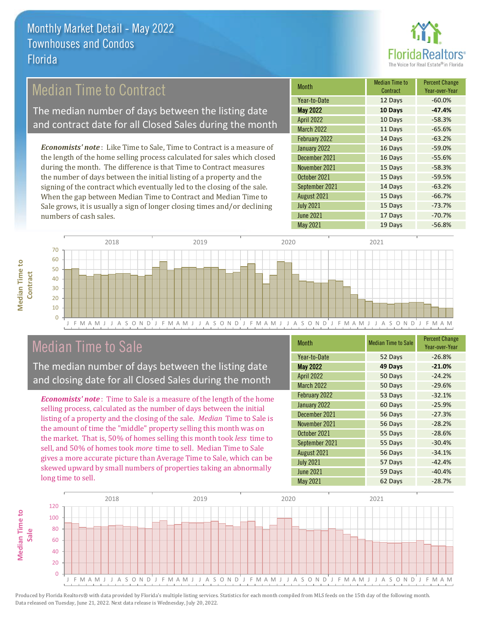

### Median Time to Contract

The median number of days between the listing date and contract date for all Closed Sales during the month

*Economists' note* : Like Time to Sale, Time to Contract is a measure of the length of the home selling process calculated for sales which closed during the month. The difference is that Time to Contract measures the number of days between the initial listing of a property and the signing of the contract which eventually led to the closing of the sale. When the gap between Median Time to Contract and Median Time to Sale grows, it is usually a sign of longer closing times and/or declining numbers of cash sales.

| Month             | <b>Median Time to</b><br>Contract | <b>Percent Change</b><br>Year-over-Year |
|-------------------|-----------------------------------|-----------------------------------------|
| Year-to-Date      | 12 Days                           | $-60.0%$                                |
| <b>May 2022</b>   | 10 Days                           | $-47.4%$                                |
| <b>April 2022</b> | 10 Days                           | $-58.3%$                                |
| <b>March 2022</b> | 11 Days                           | $-65.6%$                                |
| February 2022     | 14 Days                           | $-63.2%$                                |
| January 2022      | 16 Days                           | $-59.0%$                                |
| December 2021     | 16 Days                           | $-55.6%$                                |
| November 2021     | 15 Days                           | $-58.3%$                                |
| October 2021      | 15 Days                           | $-59.5%$                                |
| September 2021    | 14 Days                           | $-63.2%$                                |
| August 2021       | 15 Days                           | $-66.7%$                                |
| <b>July 2021</b>  | 15 Days                           | $-73.7%$                                |
| <b>June 2021</b>  | 17 Days                           | $-70.7%$                                |
| May 2021          | 19 Days                           | $-56.8%$                                |



### Median Time to Sale

**Median Time to** 

**Median Time to** 

The median number of days between the listing date and closing date for all Closed Sales during the month

*Economists' note* : Time to Sale is a measure of the length of the home selling process, calculated as the number of days between the initial listing of a property and the closing of the sale. *Median* Time to Sale is the amount of time the "middle" property selling this month was on the market. That is, 50% of homes selling this month took *less* time to sell, and 50% of homes took *more* time to sell. Median Time to Sale gives a more accurate picture than Average Time to Sale, which can be skewed upward by small numbers of properties taking an abnormally long time to sell.

| <b>Month</b>      | <b>Median Time to Sale</b> | <b>Percent Change</b><br>Year-over-Year |
|-------------------|----------------------------|-----------------------------------------|
| Year-to-Date      | 52 Days                    | $-26.8%$                                |
| <b>May 2022</b>   | 49 Days                    | $-21.0%$                                |
| <b>April 2022</b> | 50 Days                    | $-24.2%$                                |
| <b>March 2022</b> | 50 Days                    | $-29.6%$                                |
| February 2022     | 53 Days                    | $-32.1%$                                |
| January 2022      | 60 Days                    | $-25.9%$                                |
| December 2021     | 56 Days                    | $-27.3%$                                |
| November 2021     | 56 Days                    | $-28.2%$                                |
| October 2021      | 55 Days                    | $-28.6%$                                |
| September 2021    | 55 Days                    | $-30.4%$                                |
| August 2021       | 56 Days                    | $-34.1%$                                |
| <b>July 2021</b>  | 57 Days                    | $-42.4%$                                |
| <b>June 2021</b>  | 59 Days                    | $-40.4%$                                |
| May 2021          | 62 Days                    | $-28.7%$                                |

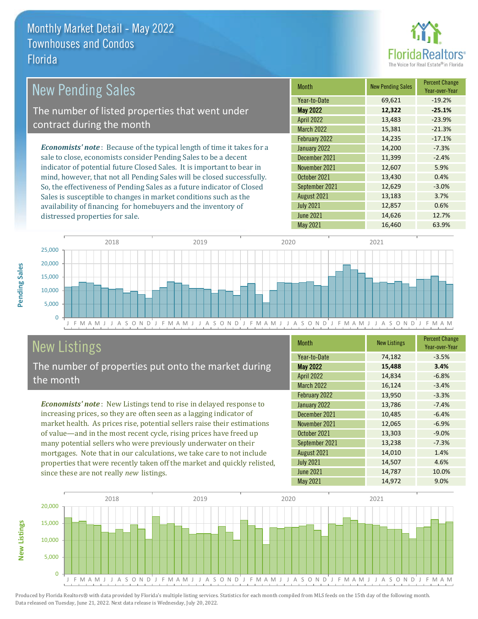distressed properties for sale.



| <b>New Pending Sales</b>                                                      | <b>Month</b>      | <b>New Pending Sales</b> | <b>Percent Change</b><br>Year-over-Year |
|-------------------------------------------------------------------------------|-------------------|--------------------------|-----------------------------------------|
|                                                                               | Year-to-Date      | 69,621                   | $-19.2%$                                |
| The number of listed properties that went under                               | <b>May 2022</b>   | 12,322                   | $-25.1%$                                |
| contract during the month                                                     | <b>April 2022</b> | 13,483                   | $-23.9%$                                |
|                                                                               | <b>March 2022</b> | 15,381                   | $-21.3%$                                |
|                                                                               | February 2022     | 14,235                   | $-17.1%$                                |
| <b>Economists' note:</b> Because of the typical length of time it takes for a | January 2022      | 14,200                   | $-7.3%$                                 |
| sale to close, economists consider Pending Sales to be a decent               | December 2021     | 11,399                   | $-2.4%$                                 |
| indicator of potential future Closed Sales. It is important to bear in        | November 2021     | 12,607                   | 5.9%                                    |
| mind, however, that not all Pending Sales will be closed successfully.        | October 2021      | 13,430                   | 0.4%                                    |
| So, the effectiveness of Pending Sales as a future indicator of Closed        | September 2021    | 12,629                   | $-3.0%$                                 |
| Sales is susceptible to changes in market conditions such as the              | August 2021       | 13,183                   | 3.7%                                    |
| availability of financing for homebuyers and the inventory of                 | <b>July 2021</b>  | 12,857                   | 0.6%                                    |



## New Listings

**New Listings**

**Pending Sales**

**Pending Sales** 

The number of properties put onto the market during the month

*Economists' note* : New Listings tend to rise in delayed response to increasing prices, so they are often seen as a lagging indicator of market health. As prices rise, potential sellers raise their estimations of value—and in the most recent cycle, rising prices have freed up many potential sellers who were previously underwater on their mortgages. Note that in our calculations, we take care to not include properties that were recently taken off the market and quickly relisted, since these are not really *new* listings.

| <b>Month</b>      | <b>New Listings</b> | <b>Percent Change</b><br>Year-over-Year |
|-------------------|---------------------|-----------------------------------------|
| Year-to-Date      | 74,182              | $-3.5%$                                 |
| <b>May 2022</b>   | 15,488              | 3.4%                                    |
| <b>April 2022</b> | 14,834              | $-6.8%$                                 |
| <b>March 2022</b> | 16,124              | $-3.4%$                                 |
| February 2022     | 13,950              | $-3.3%$                                 |
| January 2022      | 13,786              | $-7.4%$                                 |
| December 2021     | 10,485              | $-6.4%$                                 |
| November 2021     | 12,065              | $-6.9%$                                 |
| October 2021      | 13,303              | $-9.0%$                                 |
| September 2021    | 13,238              | $-7.3%$                                 |
| August 2021       | 14,010              | 1.4%                                    |
| <b>July 2021</b>  | 14,507              | 4.6%                                    |
| <b>June 2021</b>  | 14,787              | 10.0%                                   |
| <b>May 2021</b>   | 14,972              | 9.0%                                    |

June 2021 **14,626** 14,626 12.7%

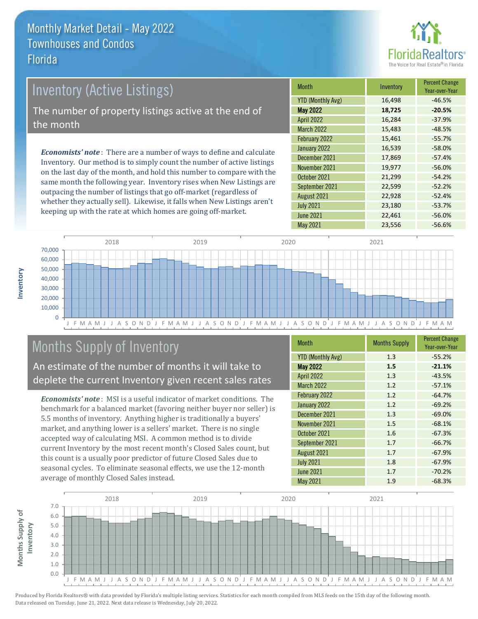

# Inventory (Active Listings) The number of property listings active at the end of the month

*Economists' note* : There are a number of ways to define and calculate Inventory. Our method is to simply count the number of active listings on the last day of the month, and hold this number to compare with the same month the following year. Inventory rises when New Listings are outpacing the number of listings that go off-market (regardless of whether they actually sell). Likewise, it falls when New Listings aren't keeping up with the rate at which homes are going off-market.

| <b>Month</b>             | Inventory | <b>Percent Change</b><br>Year-over-Year |
|--------------------------|-----------|-----------------------------------------|
| <b>YTD (Monthly Avg)</b> | 16,498    | $-46.5%$                                |
| <b>May 2022</b>          | 18,725    | $-20.5%$                                |
| <b>April 2022</b>        | 16,284    | $-37.9%$                                |
| <b>March 2022</b>        | 15,483    | $-48.5%$                                |
| February 2022            | 15,461    | $-55.7%$                                |
| January 2022             | 16,539    | $-58.0%$                                |
| December 2021            | 17,869    | $-57.4%$                                |
| November 2021            | 19,977    | $-56.0%$                                |
| October 2021             | 21,299    | $-54.2%$                                |
| September 2021           | 22,599    | $-52.2%$                                |
| August 2021              | 22,928    | $-52.4%$                                |
| <b>July 2021</b>         | 23,180    | $-53.7%$                                |
| <b>June 2021</b>         | 22,461    | $-56.0%$                                |
| <b>May 2021</b>          | 23,556    | $-56.6%$                                |



## Months Supply of Inventory

An estimate of the number of months it will take to deplete the current Inventory given recent sales rates

*Economists' note* : MSI is a useful indicator of market conditions. The benchmark for a balanced market (favoring neither buyer nor seller) is 5.5 months of inventory. Anything higher is traditionally a buyers' market, and anything lower is a sellers' market. There is no single accepted way of calculating MSI. A common method is to divide current Inventory by the most recent month's Closed Sales count, but this count is a usually poor predictor of future Closed Sales due to seasonal cycles. To eliminate seasonal effects, we use the 12-month average of monthly Closed Sales instead.

| <b>Month</b>             | <b>Months Supply</b> | <b>Percent Change</b><br>Year-over-Year |
|--------------------------|----------------------|-----------------------------------------|
| <b>YTD (Monthly Avg)</b> | 1.3                  | $-55.2%$                                |
| <b>May 2022</b>          | 1.5                  | $-21.1%$                                |
| <b>April 2022</b>        | 1.3                  | $-43.5%$                                |
| <b>March 2022</b>        | 1.2                  | $-57.1%$                                |
| February 2022            | 1.2                  | $-64.7%$                                |
| January 2022             | 1.2                  | $-69.2%$                                |
| December 2021            | 1.3                  | $-69.0%$                                |
| November 2021            | 1.5                  | $-68.1%$                                |
| October 2021             | 1.6                  | $-67.3%$                                |
| September 2021           | 1.7                  | $-66.7%$                                |
| August 2021              | 1.7                  | $-67.9%$                                |
| <b>July 2021</b>         | 1.8                  | $-67.9%$                                |
| <b>June 2021</b>         | 1.7                  | $-70.2%$                                |
| May 2021                 | 1.9                  | $-68.3%$                                |

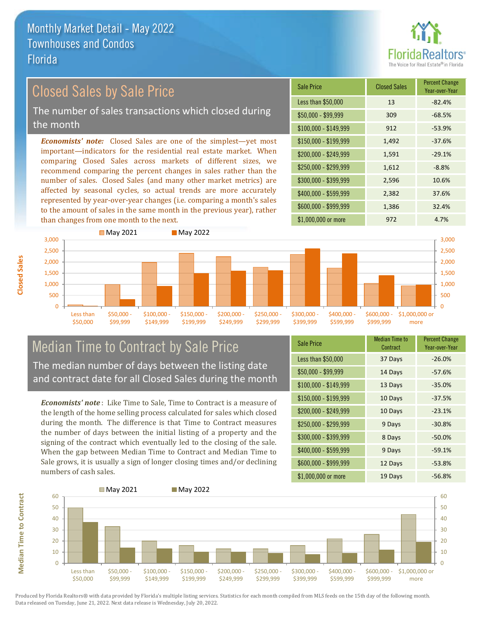

### Closed Sales by Sale Price

The number of sales transactions which closed during the month

*Economists' note:* Closed Sales are one of the simplest—yet most important—indicators for the residential real estate market. When comparing Closed Sales across markets of different sizes, we recommend comparing the percent changes in sales rather than the number of sales. Closed Sales (and many other market metrics) are affected by seasonal cycles, so actual trends are more accurately represented by year-over-year changes (i.e. comparing a month's sales to the amount of sales in the same month in the previous year), rather than changes from one month to the next.

| <b>Sale Price</b>     | <b>Closed Sales</b> | <b>Percent Change</b><br>Year-over-Year |
|-----------------------|---------------------|-----------------------------------------|
| Less than \$50,000    | 13                  | $-82.4%$                                |
| $$50,000 - $99,999$   | 309                 | $-68.5%$                                |
| $$100,000 - $149,999$ | 912                 | $-53.9%$                                |
| \$150,000 - \$199,999 | 1,492               | $-37.6%$                                |
| \$200,000 - \$249,999 | 1,591               | $-29.1%$                                |
| \$250,000 - \$299,999 | 1,612               | $-8.8%$                                 |
| \$300,000 - \$399,999 | 2,596               | 10.6%                                   |
| \$400,000 - \$599,999 | 2,382               | 37.6%                                   |
| \$600,000 - \$999,999 | 1,386               | 32.4%                                   |
| \$1,000,000 or more   | 972                 | 4.7%                                    |



## Median Time to Contract by Sale Price The median number of days between the listing date

and contract date for all Closed Sales during the month

*Economists' note* : Like Time to Sale, Time to Contract is a measure of the length of the home selling process calculated for sales which closed during the month. The difference is that Time to Contract measures the number of days between the initial listing of a property and the signing of the contract which eventually led to the closing of the sale. When the gap between Median Time to Contract and Median Time to Sale grows, it is usually a sign of longer closing times and/or declining numbers of cash sales.

| <b>Sale Price</b>     | <b>Median Time to</b><br>Contract | <b>Percent Change</b><br>Year-over-Year |
|-----------------------|-----------------------------------|-----------------------------------------|
| Less than \$50,000    | 37 Days                           | $-26.0%$                                |
| \$50,000 - \$99,999   | 14 Days                           | $-57.6%$                                |
| $$100,000 - $149,999$ | 13 Days                           | $-35.0%$                                |
| $$150,000 - $199,999$ | 10 Days                           | $-37.5%$                                |
| \$200,000 - \$249,999 | 10 Days                           | $-23.1%$                                |
| \$250,000 - \$299,999 | 9 Days                            | $-30.8%$                                |
| \$300,000 - \$399,999 | 8 Days                            | $-50.0%$                                |
| \$400,000 - \$599,999 | 9 Days                            | $-59.1%$                                |
| \$600,000 - \$999,999 | 12 Days                           | $-53.8%$                                |
| \$1,000,000 or more   | 19 Days                           | $-56.8%$                                |



**Closed Sales**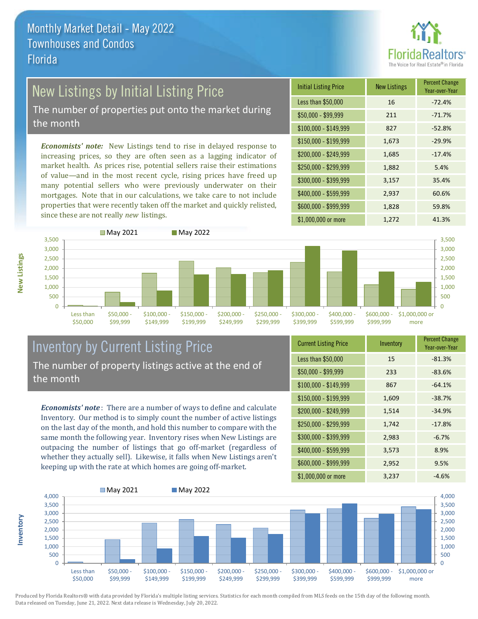

## New Listings by Initial Listing Price

The number of properties put onto the market during the month

*Economists' note:* New Listings tend to rise in delayed response to increasing prices, so they are often seen as a lagging indicator of market health. As prices rise, potential sellers raise their estimations of value—and in the most recent cycle, rising prices have freed up many potential sellers who were previously underwater on their mortgages. Note that in our calculations, we take care to not include properties that were recently taken off the market and quickly relisted, since these are not really *new* listings.

| <b>Initial Listing Price</b> | <b>New Listings</b> | <b>Percent Change</b><br>Year-over-Year |
|------------------------------|---------------------|-----------------------------------------|
| Less than \$50,000           | 16                  | $-72.4%$                                |
| \$50,000 - \$99,999          | 211                 | $-71.7%$                                |
| $$100,000 - $149,999$        | 827                 | $-52.8%$                                |
| $$150,000 - $199,999$        | 1,673               | $-29.9%$                                |
| \$200,000 - \$249,999        | 1,685               | $-17.4%$                                |
| \$250,000 - \$299,999        | 1,882               | 5.4%                                    |
| \$300,000 - \$399,999        | 3,157               | 35.4%                                   |
| \$400,000 - \$599,999        | 2,937               | 60.6%                                   |
| \$600,000 - \$999,999        | 1,828               | 59.8%                                   |
| \$1,000,000 or more          | 1,272               | 41.3%                                   |



#### Inventory by Current Listing Price The number of property listings active at the end of the month

*Economists' note* : There are a number of ways to define and calculate Inventory. Our method is to simply count the number of active listings on the last day of the month, and hold this number to compare with the same month the following year. Inventory rises when New Listings are outpacing the number of listings that go off-market (regardless of whether they actually sell). Likewise, it falls when New Listings aren't keeping up with the rate at which homes are going off-market.

| <b>Current Listing Price</b> | Inventory | <b>Percent Change</b><br>Year-over-Year |
|------------------------------|-----------|-----------------------------------------|
| Less than \$50,000           | 15        | $-81.3%$                                |
| $$50,000 - $99,999$          | 233       | $-83.6%$                                |
| $$100,000 - $149,999$        | 867       | $-64.1%$                                |
| $$150,000 - $199,999$        | 1,609     | $-38.7%$                                |
| \$200,000 - \$249,999        | 1,514     | $-34.9%$                                |
| \$250,000 - \$299,999        | 1,742     | $-17.8%$                                |
| \$300,000 - \$399,999        | 2,983     | $-6.7%$                                 |
| \$400,000 - \$599,999        | 3,573     | 8.9%                                    |
| \$600,000 - \$999,999        | 2,952     | 9.5%                                    |
| \$1,000,000 or more          | 3,237     | $-4.6%$                                 |



Produced by Florida Realtors® with data provided by Florida's multiple listing services. Statistics for each month compiled from MLS feeds on the 15th day of the following month. Data released on Tuesday, June 21, 2022. Next data release is Wednesday, July 20, 2022.

**Inventory**